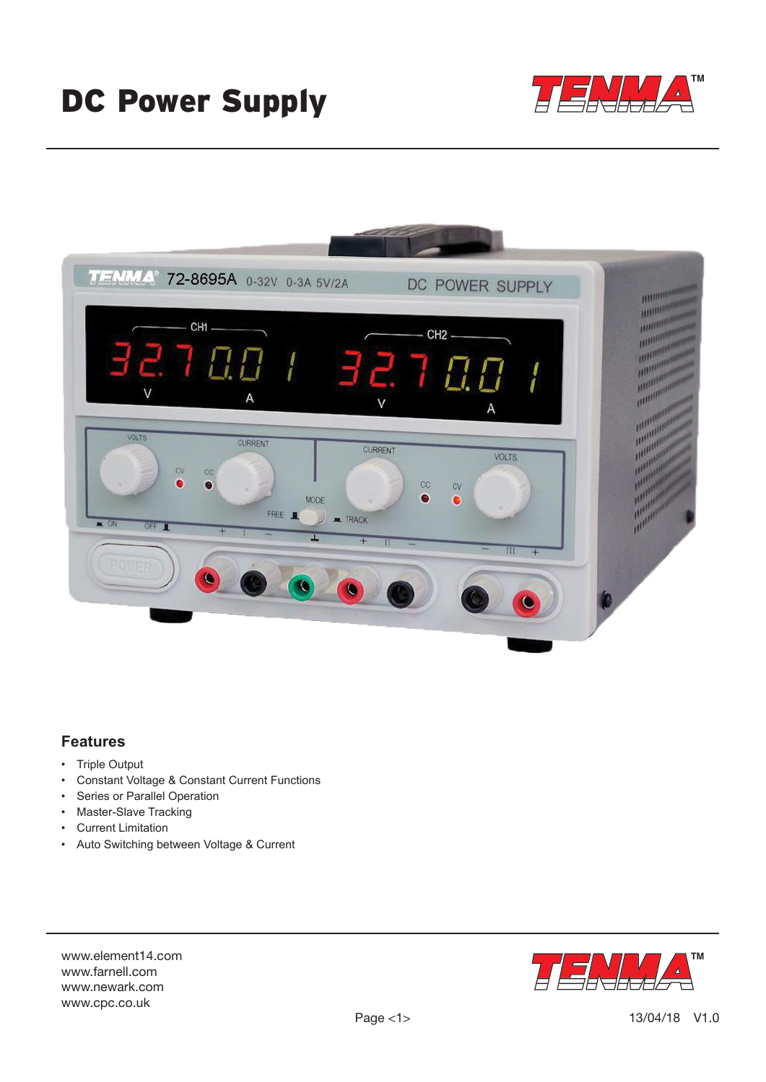# DC Power Supply





## **Features**

- Triple Output
- Constant Voltage & Constant Current Functions
- Series or Parallel Operation
- Master-Slave Tracking
- Current Limitation
- Auto Switching between Voltage & Current

www.element14.com www.farnell.com www.newark.com www.cpc.co.uk